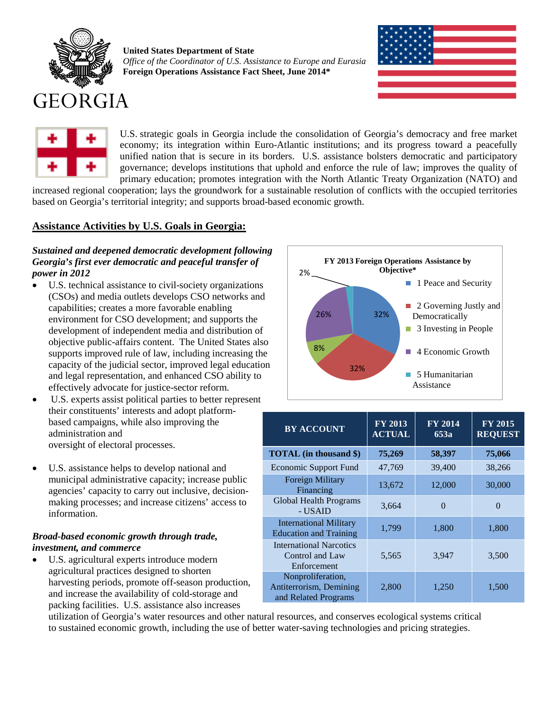

**United States Department of State** *Office of the Coordinator of U.S. Assistance to Europe and Eurasia* **Foreign Operations Assistance Fact Sheet, June 2014\***





U.S. strategic goals in Georgia include the consolidation of Georgia's democracy and free market economy; its integration within Euro-Atlantic institutions; and its progress toward a peacefully unified nation that is secure in its borders. U.S. assistance bolsters democratic and participatory governance; develops institutions that uphold and enforce the rule of law; improves the quality of primary education; promotes integration with the North Atlantic Treaty Organization (NATO) and

increased regional cooperation; lays the groundwork for a sustainable resolution of conflicts with the occupied territories based on Georgia's territorial integrity; and supports broad-based economic growth.

# **Assistance Activities by U.S. Goals in Georgia:**

## *Sustained and deepened democratic development following Georgia's first ever democratic and peaceful transfer of power in 2012*

- U.S. technical assistance to civil-society organizations (CSOs) and media outlets develops CSO networks and capabilities; creates a more favorable enabling environment for CSO development; and supports the development of independent media and distribution of objective public-affairs content. The United States also supports improved rule of law, including increasing the capacity of the judicial sector, improved legal education and legal representation, and enhanced CSO ability to effectively advocate for justice-sector reform.
- U.S. experts assist political parties to better represent their constituents' interests and adopt platformbased campaigns, while also improving the administration and oversight of electoral processes.
- U.S. assistance helps to develop national and municipal administrative capacity; increase public agencies' capacity to carry out inclusive, decisionmaking processes; and increase citizens' access to information.

## *Broad-based economic growth through trade, investment, and commerce*

• U.S. agricultural experts introduce modern agricultural practices designed to shorten harvesting periods, promote off-season production, and increase the availability of cold-storage and packing facilities. U.S. assistance also increases



| <b>BY ACCOUNT</b>                                                    | <b>FY 2013</b><br><b>ACTUAL</b> | <b>FY 2014</b><br>653a | <b>FY 2015</b><br><b>REQUEST</b> |
|----------------------------------------------------------------------|---------------------------------|------------------------|----------------------------------|
| <b>TOTAL</b> (in thousand \$)                                        | 75,269                          | 58,397                 | 75,066                           |
| Economic Support Fund                                                | 47,769                          | 39,400                 | 38,266                           |
| <b>Foreign Military</b><br>Financing                                 | 13,672                          | 12,000                 | 30,000                           |
| <b>Global Health Programs</b><br>- USAID                             | 3,664                           | $\Omega$               | $\Omega$                         |
| <b>International Military</b><br><b>Education and Training</b>       | 1,799                           | 1,800                  | 1,800                            |
| <b>International Narcotics</b><br>Control and Law<br>Enforcement     | 5,565                           | 3,947                  | 3,500                            |
| Nonproliferation,<br>Antiterrorism, Demining<br>and Related Programs | 2,800                           | 1,250                  | 1,500                            |

utilization of Georgia's water resources and other natural resources, and conserves ecological systems critical to sustained economic growth, including the use of better water-saving technologies and pricing strategies.